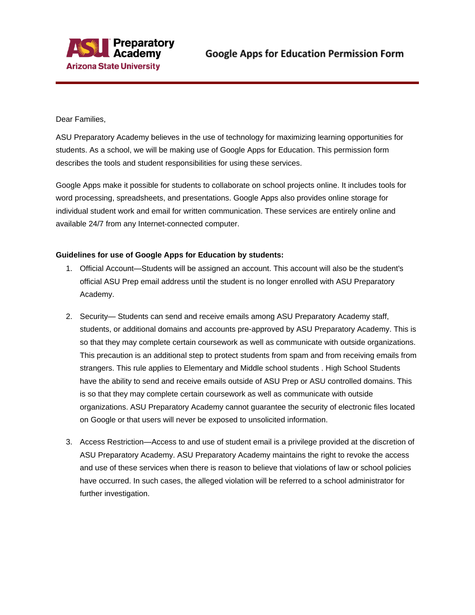

Dear Families,

ASU Preparatory Academy believes in the use of technology for maximizing learning opportunities for students. As a school, we will be making use of Google Apps for Education. This permission form describes the tools and student responsibilities for using these services.

Google Apps make it possible for students to collaborate on school projects online. It includes tools for word processing, spreadsheets, and presentations. Google Apps also provides online storage for individual student work and email for written communication. These services are entirely online and available 24/7 from any Internet-connected computer.

## **Guidelines for use of Google Apps for Education by students:**

- 1. Official Account—Students will be assigned an account. This account will also be the student's official ASU Prep email address until the student is no longer enrolled with ASU Preparatory Academy.
- 2. Security— Students can send and receive emails among ASU Preparatory Academy staff, students, or additional domains and accounts pre-approved by ASU Preparatory Academy. This is so that they may complete certain coursework as well as communicate with outside organizations. This precaution is an additional step to protect students from spam and from receiving emails from strangers. This rule applies to Elementary and Middle school students . High School Students have the ability to send and receive emails outside of ASU Prep or ASU controlled domains. This is so that they may complete certain coursework as well as communicate with outside organizations. ASU Preparatory Academy cannot guarantee the security of electronic files located on Google or that users will never be exposed to unsolicited information.
- 3. Access Restriction—Access to and use of student email is a privilege provided at the discretion of ASU Preparatory Academy. ASU Preparatory Academy maintains the right to revoke the access and use of these services when there is reason to believe that violations of law or school policies have occurred. In such cases, the alleged violation will be referred to a school administrator for further investigation.